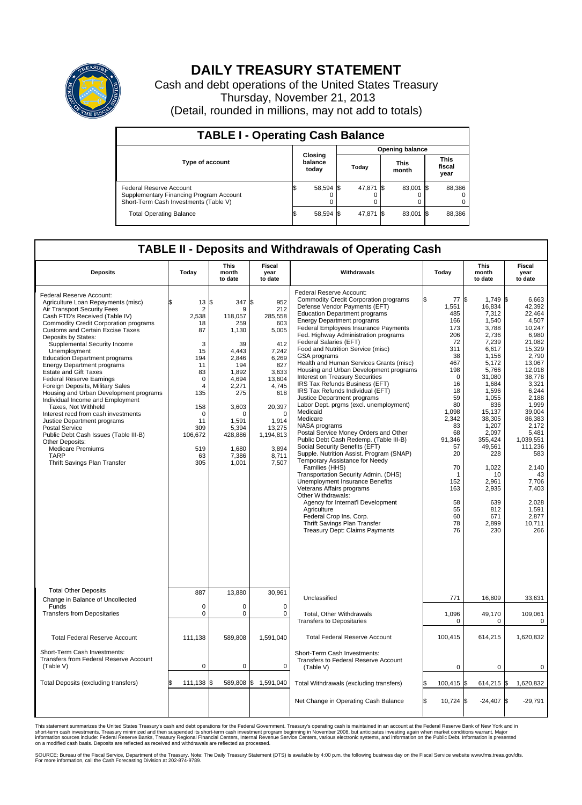

## **DAILY TREASURY STATEMENT**

Cash and debt operations of the United States Treasury Thursday, November 21, 2013 (Detail, rounded in millions, may not add to totals)

| <b>TABLE I - Operating Cash Balance</b>                                                                     |  |                             |  |           |  |                      |      |                               |  |  |
|-------------------------------------------------------------------------------------------------------------|--|-----------------------------|--|-----------|--|----------------------|------|-------------------------------|--|--|
| <b>Opening balance</b>                                                                                      |  |                             |  |           |  |                      |      |                               |  |  |
| <b>Type of account</b>                                                                                      |  | Closing<br>balance<br>today |  | Todav     |  | <b>This</b><br>month |      | <b>This</b><br>fiscal<br>year |  |  |
| Federal Reserve Account<br>Supplementary Financing Program Account<br>Short-Term Cash Investments (Table V) |  | 58,594 \$                   |  | 47,871 \$ |  | 83,001               | - IS | 88,386                        |  |  |
| <b>Total Operating Balance</b>                                                                              |  | 58,594 \$                   |  | 47,871 \$ |  | 83,001               | - 15 | 88,386                        |  |  |

## **TABLE II - Deposits and Withdrawals of Operating Cash**

| <b>Deposits</b>                                                                                                                                                                                                                                                                                                                                                                                                                                                                                                                                                                                                                                                                                                                                                                                                                  | Today                                                                                                                                                                | <b>This</b><br>month<br>to date                                                                                                                                                             | Fiscal<br>year<br>to date                                                                                                                                                                 | Withdrawals                                                                                                                                                                                                                                                                                                                                                                                                                                                                                                                                                                                                                                                                                                                                                                                                                                                                                                                                                                                                                                                                                                                                                        | Today                                                                                                                                                                                                                                       | <b>This</b><br>month<br>to date                                                                                                                                                                                                                                                                  | Fiscal<br>year<br>to date                                                                                                                                                                                                                                                                              |
|----------------------------------------------------------------------------------------------------------------------------------------------------------------------------------------------------------------------------------------------------------------------------------------------------------------------------------------------------------------------------------------------------------------------------------------------------------------------------------------------------------------------------------------------------------------------------------------------------------------------------------------------------------------------------------------------------------------------------------------------------------------------------------------------------------------------------------|----------------------------------------------------------------------------------------------------------------------------------------------------------------------|---------------------------------------------------------------------------------------------------------------------------------------------------------------------------------------------|-------------------------------------------------------------------------------------------------------------------------------------------------------------------------------------------|--------------------------------------------------------------------------------------------------------------------------------------------------------------------------------------------------------------------------------------------------------------------------------------------------------------------------------------------------------------------------------------------------------------------------------------------------------------------------------------------------------------------------------------------------------------------------------------------------------------------------------------------------------------------------------------------------------------------------------------------------------------------------------------------------------------------------------------------------------------------------------------------------------------------------------------------------------------------------------------------------------------------------------------------------------------------------------------------------------------------------------------------------------------------|---------------------------------------------------------------------------------------------------------------------------------------------------------------------------------------------------------------------------------------------|--------------------------------------------------------------------------------------------------------------------------------------------------------------------------------------------------------------------------------------------------------------------------------------------------|--------------------------------------------------------------------------------------------------------------------------------------------------------------------------------------------------------------------------------------------------------------------------------------------------------|
| Federal Reserve Account:<br>Agriculture Loan Repayments (misc)<br>Air Transport Security Fees<br>Cash FTD's Received (Table IV)<br><b>Commodity Credit Corporation programs</b><br><b>Customs and Certain Excise Taxes</b><br>Deposits by States:<br>Supplemental Security Income<br>Unemployment<br><b>Education Department programs</b><br><b>Energy Department programs</b><br><b>Estate and Gift Taxes</b><br><b>Federal Reserve Earnings</b><br>Foreign Deposits, Military Sales<br>Housing and Urban Development programs<br>Individual Income and Employment<br>Taxes, Not Withheld<br>Interest recd from cash investments<br>Justice Department programs<br><b>Postal Service</b><br>Public Debt Cash Issues (Table III-B)<br>Other Deposits:<br><b>Medicare Premiums</b><br><b>TARP</b><br>Thrift Savings Plan Transfer | 13<br>$\overline{2}$<br>2.538<br>18<br>87<br>3<br>15<br>194<br>11<br>83<br>$\mathbf 0$<br>4<br>135<br>158<br>$\mathbf 0$<br>11<br>309<br>106,672<br>519<br>63<br>305 | 1\$<br>347 \$<br>9<br>118.057<br>259<br>1,130<br>39<br>4,443<br>2.846<br>194<br>1.892<br>4,694<br>2,271<br>275<br>3,603<br>$\Omega$<br>1.591<br>5,394<br>428,886<br>1,680<br>7,386<br>1,001 | 952<br>212<br>285.558<br>603<br>5,005<br>412<br>7,242<br>6,269<br>827<br>3,633<br>13,604<br>4,745<br>618<br>20,397<br>$\Omega$<br>1.914<br>13,275<br>1,194,813<br>3,894<br>8,711<br>7,507 | Federal Reserve Account:<br>Commodity Credit Corporation programs<br>Defense Vendor Payments (EFT)<br><b>Education Department programs</b><br><b>Energy Department programs</b><br>Federal Employees Insurance Payments<br>Fed. Highway Administration programs<br>Federal Salaries (EFT)<br>Food and Nutrition Service (misc)<br>GSA programs<br>Health and Human Services Grants (misc)<br>Housing and Urban Development programs<br>Interest on Treasury Securities<br>IRS Tax Refunds Business (EFT)<br>IRS Tax Refunds Individual (EFT)<br>Justice Department programs<br>Labor Dept. prgms (excl. unemployment)<br>Medicaid<br>Medicare<br>NASA programs<br>Postal Service Money Orders and Other<br>Public Debt Cash Redemp. (Table III-B)<br>Social Security Benefits (EFT)<br>Supple. Nutrition Assist. Program (SNAP)<br>Temporary Assistance for Needy<br>Families (HHS)<br>Transportation Security Admin. (DHS)<br>Unemployment Insurance Benefits<br>Veterans Affairs programs<br>Other Withdrawals:<br>Agency for Internat'l Development<br>Agriculture<br>Federal Crop Ins. Corp.<br>Thrift Savings Plan Transfer<br>Treasury Dept: Claims Payments | ß.<br>77<br>1,551<br>485<br>166<br>173<br>206<br>72<br>311<br>38<br>467<br>198<br>$\mathbf 0$<br>16<br>18<br>59<br>80<br>1,098<br>2,342<br>83<br>68<br>91.346<br>57<br>20<br>70<br>$\mathbf{1}$<br>152<br>163<br>58<br>55<br>60<br>78<br>76 | S.<br>$1.749$ \\$<br>16,834<br>7,312<br>1,540<br>3,788<br>2,736<br>7,239<br>6,617<br>1,156<br>5.172<br>5,766<br>31,080<br>1,684<br>1,596<br>1,055<br>836<br>15,137<br>38,305<br>1.207<br>2,097<br>355,424<br>49,561<br>228<br>1,022<br>10<br>2,961<br>2,935<br>639<br>812<br>671<br>2,899<br>230 | 6.663<br>42,392<br>22.464<br>4,507<br>10,247<br>6,980<br>21.082<br>15,329<br>2,790<br>13.067<br>12,018<br>38,778<br>3.321<br>6,244<br>2,188<br>1,999<br>39,004<br>86,383<br>2.172<br>5,481<br>1,039,551<br>111,236<br>583<br>2,140<br>43<br>7,706<br>7,403<br>2,028<br>1,591<br>2.877<br>10,711<br>266 |
| <b>Total Other Deposits</b><br>Change in Balance of Uncollected                                                                                                                                                                                                                                                                                                                                                                                                                                                                                                                                                                                                                                                                                                                                                                  | 887                                                                                                                                                                  | 13,880                                                                                                                                                                                      | 30,961                                                                                                                                                                                    | Unclassified                                                                                                                                                                                                                                                                                                                                                                                                                                                                                                                                                                                                                                                                                                                                                                                                                                                                                                                                                                                                                                                                                                                                                       | 771                                                                                                                                                                                                                                         | 16,809                                                                                                                                                                                                                                                                                           | 33,631                                                                                                                                                                                                                                                                                                 |
| Funds<br><b>Transfers from Depositaries</b>                                                                                                                                                                                                                                                                                                                                                                                                                                                                                                                                                                                                                                                                                                                                                                                      | $\mathbf 0$<br>$\mathbf 0$                                                                                                                                           | 0<br>0                                                                                                                                                                                      | 0<br>0                                                                                                                                                                                    | Total, Other Withdrawals<br><b>Transfers to Depositaries</b>                                                                                                                                                                                                                                                                                                                                                                                                                                                                                                                                                                                                                                                                                                                                                                                                                                                                                                                                                                                                                                                                                                       | 1,096<br>0                                                                                                                                                                                                                                  | 49,170<br>$\mathbf 0$                                                                                                                                                                                                                                                                            | 109,061<br>$\mathbf 0$                                                                                                                                                                                                                                                                                 |
| <b>Total Federal Reserve Account</b>                                                                                                                                                                                                                                                                                                                                                                                                                                                                                                                                                                                                                                                                                                                                                                                             | 111.138                                                                                                                                                              | 589,808                                                                                                                                                                                     | 1,591,040                                                                                                                                                                                 | <b>Total Federal Reserve Account</b>                                                                                                                                                                                                                                                                                                                                                                                                                                                                                                                                                                                                                                                                                                                                                                                                                                                                                                                                                                                                                                                                                                                               | 100,415                                                                                                                                                                                                                                     | 614,215                                                                                                                                                                                                                                                                                          | 1,620,832                                                                                                                                                                                                                                                                                              |
| Short-Term Cash Investments:<br><b>Transfers from Federal Reserve Account</b><br>(Table V)                                                                                                                                                                                                                                                                                                                                                                                                                                                                                                                                                                                                                                                                                                                                       | $\pmb{0}$                                                                                                                                                            | 0                                                                                                                                                                                           | 0                                                                                                                                                                                         | Short-Term Cash Investments:<br>Transfers to Federal Reserve Account<br>(Table V)                                                                                                                                                                                                                                                                                                                                                                                                                                                                                                                                                                                                                                                                                                                                                                                                                                                                                                                                                                                                                                                                                  | 0                                                                                                                                                                                                                                           | 0                                                                                                                                                                                                                                                                                                | 0                                                                                                                                                                                                                                                                                                      |
| Total Deposits (excluding transfers)                                                                                                                                                                                                                                                                                                                                                                                                                                                                                                                                                                                                                                                                                                                                                                                             | 111,138                                                                                                                                                              | 589,808 \$<br>\$                                                                                                                                                                            | 1,591,040                                                                                                                                                                                 | Total Withdrawals (excluding transfers)                                                                                                                                                                                                                                                                                                                                                                                                                                                                                                                                                                                                                                                                                                                                                                                                                                                                                                                                                                                                                                                                                                                            | 100,415                                                                                                                                                                                                                                     | $614,215$ \$<br>\$                                                                                                                                                                                                                                                                               | 1,620,832                                                                                                                                                                                                                                                                                              |
|                                                                                                                                                                                                                                                                                                                                                                                                                                                                                                                                                                                                                                                                                                                                                                                                                                  |                                                                                                                                                                      |                                                                                                                                                                                             |                                                                                                                                                                                           | Net Change in Operating Cash Balance                                                                                                                                                                                                                                                                                                                                                                                                                                                                                                                                                                                                                                                                                                                                                                                                                                                                                                                                                                                                                                                                                                                               | \$.<br>10,724                                                                                                                                                                                                                               | \$<br>$-24,407$ \$                                                                                                                                                                                                                                                                               | $-29,791$                                                                                                                                                                                                                                                                                              |

This statement summarizes the United States Treasury's cash and debt operations for the Federal Government. Treasury's operating cash is maintained in an account at the Federal Reserve Bank of New York and in<br>informetion c

SOURCE: Bureau of the Fiscal Service, Department of the Treasury. Note: The Daily Treasury Statement (DTS) is available by 4:00 p.m. the following business day on the Fiscal Service website www.fms.treas.gov/dts.<br>For more